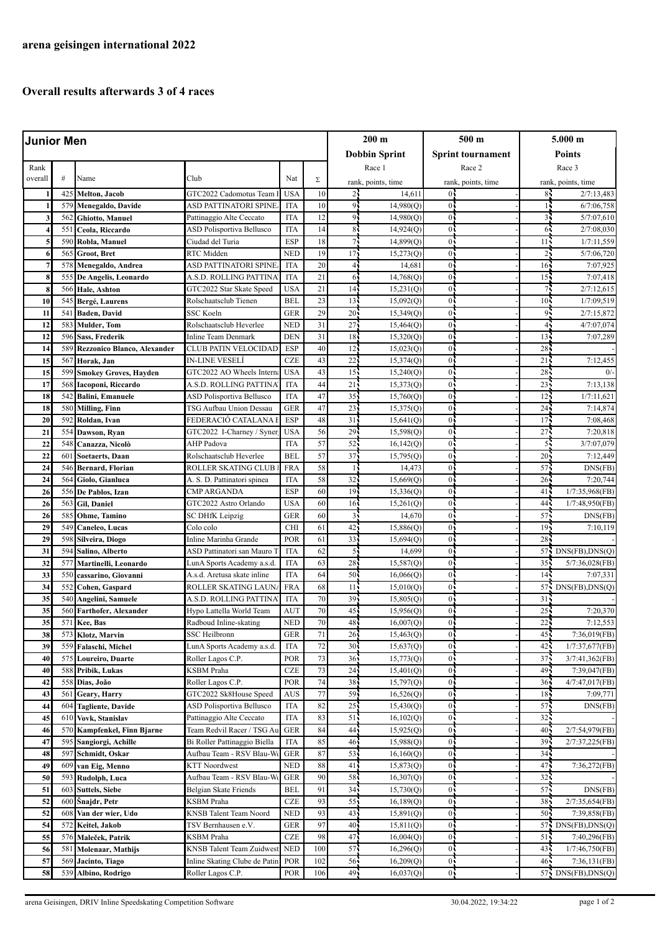## **Overall results afterwards 3 of 4 races**

| <b>Junior Men</b>     |            |                                |                                                    |                          |            | $200 \text{ m}$       |                        | $500 \text{ m}$     |                          | $5.000$ m             |                                        |  |
|-----------------------|------------|--------------------------------|----------------------------------------------------|--------------------------|------------|-----------------------|------------------------|---------------------|--------------------------|-----------------------|----------------------------------------|--|
|                       |            |                                |                                                    |                          |            |                       | <b>Dobbin Sprint</b>   |                     | <b>Sprint tournament</b> |                       | Points                                 |  |
| Rank                  |            |                                |                                                    |                          |            | Race 1                |                        | Race 2              |                          | Race 3                |                                        |  |
| overall               | $\#$       | Name                           | Club                                               | Nat                      | Σ          | rank, points, time    |                        | rank, points, time  |                          | rank, points, time    |                                        |  |
|                       | 425        | Melton, Jacob                  | GTC2022 Cadomotus Team 1                           | <b>USA</b>               | 10         | 2 <sup>1</sup>        | 14,611                 | $\overline{0}$      |                          | 85                    | 2/7:13,483                             |  |
|                       | 579        | Menegaldo, Davide              | ASD PATTINATORI SPINE                              | <b>ITA</b>               | 10         | 91                    | 14,980(Q)              | $\overline{0}$      |                          |                       | 6/7:06,758                             |  |
|                       | 562        | Ghiotto, Manuel                | Pattinaggio Alte Ceccato                           | <b>ITA</b>               | 12         | 91                    | 14,980(Q)              | 0 <sub>1</sub>      |                          | 35                    | 5/7:07,610                             |  |
|                       | 551        | Ceola, Riccardo                | ASD Polisportiva Bellusco                          | <b>ITA</b>               | 14         | 8 <sup>1</sup>        | 14,924(Q)              | 0 <sub>1</sub>      |                          | 65                    | 2/7:08,030                             |  |
| 5                     | 590        | Robla, Manuel                  | Ciudad del Turia                                   | <b>ESP</b>               | 18         | 71                    | 14,899(Q)              | 0                   |                          | 11 <sub>2</sub>       | 1/7:11,559                             |  |
| 6                     | 565        | <b>Groot, Bret</b>             | RTC Midden                                         | <b>NED</b>               | 19         | 17                    | 15,273(Q)              | $\overline{0}$      |                          | 21                    | 5/7:06,720                             |  |
| 7                     | 578        | Menegaldo, Andrea              | ASD PATTINATORI SPINE                              | <b>ITA</b>               | 20         | $\overline{4}$        | 14,681                 | $\overline{0}$      |                          | 16 <sub>1</sub>       | 7:07,925                               |  |
| 8                     | 555        | De Angelis, Leonardo           | A.S.D. ROLLING PATTINA                             | <b>ITA</b>               | 21         | 6                     | 14,768(Q)              | 0                   |                          | 15 <sub>1</sub>       | 7:07,418                               |  |
| 8                     | 566        | Hale, Ashton                   | GTC2022 Star Skate Speed                           | <b>USA</b>               | 21         | 14                    | 15,231(Q)              | $\overline{0}$      |                          | 75                    | 2/7:12,615                             |  |
| 10                    | 545        | Bergé, Laurens                 | Rolschaatsclub Tienen                              | <b>BEL</b>               | 23         | 13                    | 15,092(Q)              | 0 <sub>1</sub>      |                          | 10 <sub>1</sub>       | 1/7:09,519                             |  |
| 11                    | 541        | Baden, David                   | SSC Koeln                                          | <b>GER</b>               | 29         | 20 <sup>1</sup>       | 15,349(Q)              | $0^{\frac{1}{2}}$   |                          | 95                    | 2/7:15,872                             |  |
| 12                    | 583        | <b>Mulder</b> , Tom            | Rolschaatsclub Heverlee                            | <b>NED</b>               | 31         | 27                    | 15,464(Q)              | 0 <sub>1</sub>      |                          | 4,                    | 4/7:07,074                             |  |
| 12                    | 596        | Sass, Frederik                 | Inline Team Denmark                                | DEN                      | 31         | 18                    | 15,320(Q)              | $\overline{0}$      |                          | 13                    | 7:07,289                               |  |
| 14                    | 589        | Rezzonico Blanco, Alexander    | <b>CLUB PATIN VELOCIDAD</b>                        | <b>ESP</b>               | 40         | 12                    | 15,023(Q)              | 0 <sub>1</sub>      |                          | 28                    |                                        |  |
| 15                    | 567        | Horak, Jan                     | <b>IN-LINE VESELÍ</b>                              | <b>CZE</b>               | 43         | 22                    | 15,374(Q)              | 0 <sub>1</sub>      |                          | 21                    | 7:12,455                               |  |
| 15                    | 599        | <b>Smokey Groves, Hayden</b>   | GTC2022 AO Wheels Interna                          | <b>USA</b>               | 43         | 15                    | 15,240(Q)              | $\overline{0}$      |                          | 28                    | 0/                                     |  |
| 17                    | 568        | Iacoponi, Riccardo             | A.S.D. ROLLING PATTINA                             | <b>ITA</b>               | 44         | 21                    | 15,373(Q)              | 0                   |                          | 23                    | 7:13,138                               |  |
| 18                    | 542        | <b>Balini, Emanuele</b>        | ASD Polisportiva Bellusco                          | <b>ITA</b>               | 47         | 35                    | 15,760(Q)              | $\overline{0}$      |                          | 12                    | 1/7:11,621                             |  |
| 18                    | 580        | <b>Milling, Finn</b>           | TSG Aufbau Union Dessau                            | <b>GER</b>               | 47         | 23                    | 15,375(Q)              | $\overline{0}$      |                          | 24                    | 7:14,874                               |  |
| 20                    | 592        | Roldan, Ivan                   | FEDERACIÓ CATALANA I                               | <b>ESP</b>               | 48         | 31                    | 15,641(Q)              | 0 <sub>1</sub>      |                          | $17 -$                | 7:08,468                               |  |
| 21                    | 554        | Dawson, Ryan                   | GTC2022 I-Charney / Syner                          | <b>USA</b>               | 56         | 29                    | 15,598(Q)              | $\overline{0}$      |                          | 27 <sup>2</sup>       | 7:20,818                               |  |
| 22                    | 548        | Canazza, Nicolò                | AHP Padova                                         | <b>ITA</b>               | 57         | 52                    | 16,142(Q)              | 0 <sub>1</sub>      |                          | 5 <sup>1</sup>        | 3/7:07,079                             |  |
| 22                    | 601        | <b>Soetaerts, Daan</b>         | Rolschaatsclub Heverlee                            | <b>BEL</b>               | 57         | 37                    | 15,795(Q)              | $0^{\frac{1}{2}}$   |                          | $20 -$                | 7:12,449                               |  |
| 24                    | 546        | <b>Bernard, Florian</b>        | ROLLER SKATING CLUB                                | <b>FRA</b>               | 58         | $\mathbf{1}$          | 14,473                 | 0 <sub>1</sub>      |                          | 57                    | DNS(FB)                                |  |
| 24<br>26              | 564        | Giolo, Gianluca                | A. S. D. Pattinatori spinea                        | <b>ITA</b><br><b>ESP</b> | 58<br>60   | 32<br>19 <sub>1</sub> | 15,669(Q)              | $\overline{0}$<br>0 |                          | 26 <sup>1</sup>       | 7:20,744                               |  |
| 26                    | 556<br>563 | De Pablos, Izan<br>Gil, Daniel | <b>CMP ARGANDA</b><br>GTC2022 Astro Orlando        | <b>USA</b>               | 60         | 16                    | 15,336(Q)<br>15,261(Q) | 0 <sub>1</sub>      |                          | 41 <sub>1</sub><br>44 | 1/7:35,968(FB)<br>1/7:48,950(FB)       |  |
| 26                    | 585        | Ohme, Tamino                   | SC DHfK Leipzig                                    | <b>GER</b>               | 60         | $\overline{3}$        | 14,670                 | 0 <sup>1</sup>      |                          | 57 <sup>1</sup>       | DNS(FB)                                |  |
| 29                    | 549        | Caneleo, Lucas                 | Colo colo                                          | <b>CHI</b>               | 61         | 42                    | 15,886(Q)              | 0                   |                          | $19 -$                | 7:10,119                               |  |
| 29                    | 598        | Silveira, Diogo                | Inline Marinha Grande                              | POR                      | 61         | 33                    | 15,694(Q)              | 0 <sub>1</sub>      |                          | 28                    |                                        |  |
| 31                    | 594        | Salino, Alberto                | ASD Pattinatori san Mauro T                        | <b>ITA</b>               | 62         | $\overline{5}$        | 14,699                 | $\overline{0}$      |                          | 57.                   | DNS(FB), DNS(Q)                        |  |
| 32                    | 577        | Martinelli, Leonardo           | LunA Sports Academy a.s.d.                         | <b>ITA</b>               | 63         | 28                    | 15,587(Q)              | 0 <sub>1</sub>      |                          | 35 <sub>1</sub>       | $5/7:36,028$ (FB)                      |  |
| 33                    | 550        | cassarino, Giovanni            | A.s.d. Aretusa skate inline                        | <b>ITA</b>               | 64         | 50                    | 16,066(Q)              | $\overline{0}$      |                          | 14                    | 7:07,331                               |  |
| 34                    | 552        | Cohen, Gaspard                 | ROLLER SKATING LAUN                                | <b>FRA</b>               | 68         | 11 <sup>1</sup>       | 15,010(Q)              | 0 <sub>1</sub>      |                          | 57.                   | DNS(FB), DNS(Q)                        |  |
| 35                    | 540        | Angelini, Samuele              | A.S.D. ROLLING PATTINA                             | <b>ITA</b>               | 70         | 39                    | 15,805(Q)              | $0^{\frac{1}{2}}$   |                          | 31                    |                                        |  |
| 35                    | 560        | <b>Farthofer, Alexander</b>    | Hypo Lattella World Team                           | <b>AUT</b>               | 70         | 45 <sub>1</sub>       | 15,956(Q)              | 0 <sub>1</sub>      |                          | 25 <sub>1</sub>       | 7:20,370                               |  |
| 35                    |            | 571 Kee, Bas                   | Radboud Inline-skating                             | <b>NED</b>               | 70         | 48.                   | 16,007(0)              | $0\cdot$            |                          | $22 -$                | 7:12,553                               |  |
| 38                    | 573        | Klotz, Marvin                  | SSC Heilbronn                                      | <b>GER</b>               | 71         | 26 <sub>1</sub>       | 15,463(Q)              | 0 <sub>1</sub>      |                          | $45 -$                | 7:36,019(FB)                           |  |
| 39                    | 559        | Falaschi, Michel               | LunA Sports Academy a.s.d.                         | <b>ITA</b>               | 72         | 30                    | 15,637(Q)              | 0 <sub>1</sub>      |                          | 42                    | 1/7:37,677(FB)                         |  |
| 40                    | 575        | Loureiro, Duarte               | Roller Lagos C.P.                                  | POR                      | 73         | 36                    | 15,773(Q)              | 0 <sub>1</sub>      |                          | 37 <sub>1</sub>       | $3/7:41,362$ (FB)                      |  |
| 40                    | 588        | Pribik, Lukas                  | KSBM Praha                                         | <b>CZE</b>               | 73         | 24 <sub>1</sub>       | 15,401(Q)              | $0\ddot{}$          |                          | 49.                   | 7:39,047(FB)                           |  |
| 42                    | 558        | Dias, João                     | Roller Lagos C.P.                                  | POR                      | 74         | 38                    | 15,797(Q)              | 0 <sub>1</sub>      |                          | 36 <sub>1</sub>       | 4/7:47,017(FB)                         |  |
| 43                    | 561        | Geary, Harry                   | GTC2022 Sk8House Speed                             | AUS                      | 77         | 59                    | 16,526(Q)              | $0\cdot$            |                          | 18 <sup>2</sup>       | 7:09,771                               |  |
| 44                    | 604        | <b>Tagliente, Davide</b>       | ASD Polisportiva Bellusco                          | <b>ITA</b>               | 82         | 25                    | 15,430(Q)              | $_{0}$              |                          | 57.                   | DNS(FB)                                |  |
| 45                    | 610        | Vovk, Stanislav                | Pattinaggio Alte Ceccato                           | <b>ITA</b>               | 83         | 51                    | 16,102(Q)              | 0 <sub>1</sub>      |                          | 32.                   |                                        |  |
| 46                    | 570        | Kampfenkel, Finn Bjarne        | Team Redvil Racer / TSG Au                         | <b>GER</b>               | 84         | 44                    | 15,925(Q)              | 0;                  |                          | 40.                   | 2/7:54,979(FB)                         |  |
| 47                    | 595        | Sangiorgi, Achille             | Bi Roller Pattinaggio Biella                       | <b>ITA</b>               | 85         | 46 <sub>1</sub>       | 15,988(Q)              | $0\cdot$            |                          | 39.                   | 2/7:37,225(FB)                         |  |
| 48                    | 597        | Schmidt, Oskar                 | Aufbau Team - RSV Blau-We                          | <b>GER</b>               | 87         | 53                    | 16,160(Q)              | 0 <sub>2</sub>      |                          | 34 <sub>2</sub>       |                                        |  |
| 49                    | 609        | van Eig, Menno                 | <b>KTT Noordwest</b>                               | <b>NED</b>               | 88         | 41                    | 15,873(Q)              | 0 <sub>1</sub>      |                          | 47.                   | 7:36,272(FB)                           |  |
| 50                    | 593        | Rudolph, Luca                  | Aufbau Team - RSV Blau-W                           | <b>GER</b>               | 90         | 58                    | 16,307(Q)              | $0\cdot$            |                          | 32 <sub>1</sub>       |                                        |  |
| 51                    | 603        | <b>Suttels, Siebe</b>          | Belgian Skate Friends                              | <b>BEL</b>               | 91         | 34                    | 15,730(Q)              | $_{0}$              |                          | 57                    | DNS(FB)                                |  |
| 52                    | 600        | Šnajdr, Petr                   | KSBM Praha                                         | <b>CZE</b>               | 93         | 55                    | 16,189(Q)              | 0 <sub>1</sub>      |                          | 38.                   | 2/7:35,654(FB)                         |  |
| 52                    | 608        | Van der wier, Udo              | KNSB Talent Team Noord                             | NED                      | 93         | 43                    | 15,891(Q)              | $0\cdot$            |                          | 50 <sub>1</sub>       | 7:39,858(FB)                           |  |
| 54                    | 572        | Keitel, Jakob                  | TSV Bernhausen e.V.                                | <b>GER</b><br><b>CZE</b> | 97         | 40                    | 15,811(Q)              | 0 <sub>5</sub>      |                          | $57 -$                | DNS(FB), DNS(Q)                        |  |
| 55                    | 576        | Maleček, Patrik                | KSBM Praha<br>KNSB Talent Team Zuidwest            |                          | 98         | 47                    | 16,004(Q)              | $0\cdot$<br>$_{0}$  |                          | 511<br>43.            | 7:40,296(FB)                           |  |
| 56<br>$\overline{57}$ | 581<br>569 | Molenaar, Mathijs              |                                                    | <b>NED</b><br>POR        | 100<br>102 | 57<br>56              | 16,296(Q)              | 0,                  |                          | $46 -$                | 1/7:46,750(FB)                         |  |
| 58                    | 539        | Jacinto, Tiago                 | Inline Skating Clube de Patin<br>Roller Lagos C.P. | <b>POR</b>               | 106        | 49                    | 16,209(Q)<br>16,037(Q) | 0 <sub>1</sub>      |                          |                       | 7:36,131(FB)<br>$57$ : DNS(FB), DNS(Q) |  |
|                       |            | Albino, Rodrigo                |                                                    |                          |            |                       |                        |                     |                          |                       |                                        |  |